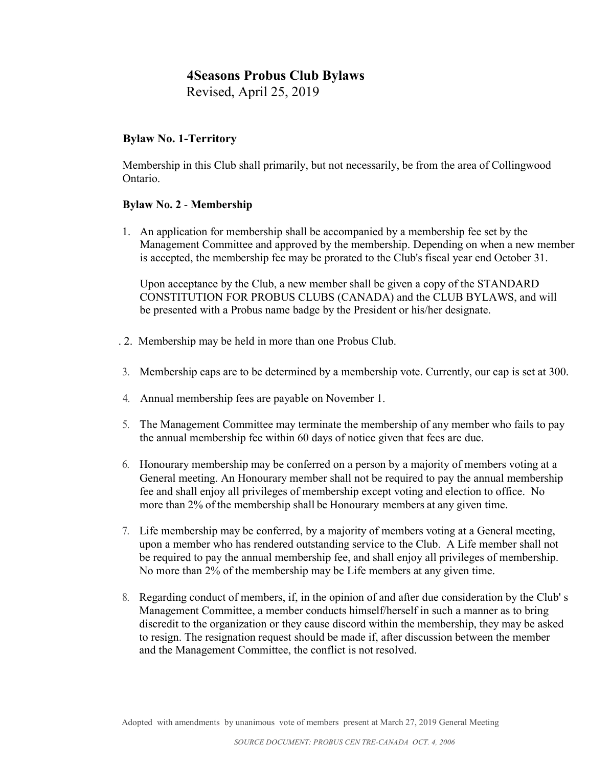Revised, April 25, 2019

### **Bylaw No. 1-Territory**

Membership in this Club shall primarily, but not necessarily, be from the area of Collingwood Ontario.

#### **Bylaw No. 2** - **Membership**

1. An application for membership shall be accompanied by a membership fee set by the Management Committee and approved by the membership. Depending on when a new member is accepted, the membership fee may be prorated to the Club's fiscal year end October 31.

Upon acceptance by the Club, a new member shall be given a copy of the STANDARD CONSTITUTION FOR PROBUS CLUBS (CANADA) and the CLUB BYLAWS, and will be presented with a Probus name badge by the President or his/her designate.

- . 2. Membership may be held in more than one Probus Club.
- 3. Membership caps are to be determined by a membership vote. Currently, our cap is set at 300.
- 4. Annual membership fees are payable on November 1.
- 5. The Management Committee may terminate the membership of any member who fails to pay the annual membership fee within 60 days of notice given that fees are due.
- 6. Honourary membership may be conferred on a person by a majority of members voting at a General meeting. An Honourary member shall not be required to pay the annual membership fee and shall enjoy all privileges of membership except voting and election to office. No more than 2% of the membership shall be Honourary members at any given time.
- 7. Life membership may be conferred, by a majority of members voting at a General meeting, upon a member who has rendered outstanding service to the Club. A Life member shall not be required to pay the annual membership fee, and shall enjoy all privileges of membership. No more than 2% of the membership may be Life members at any given time.
- 8. Regarding conduct of members, if, in the opinion of and after due consideration by the Club' s Management Committee, a member conducts himself/herself in such a manner as to bring discredit to the organization or they cause discord within the membership, they may be asked to resign. The resignation request should be made if, after discussion between the member and the Management Committee, the conflict is not resolved.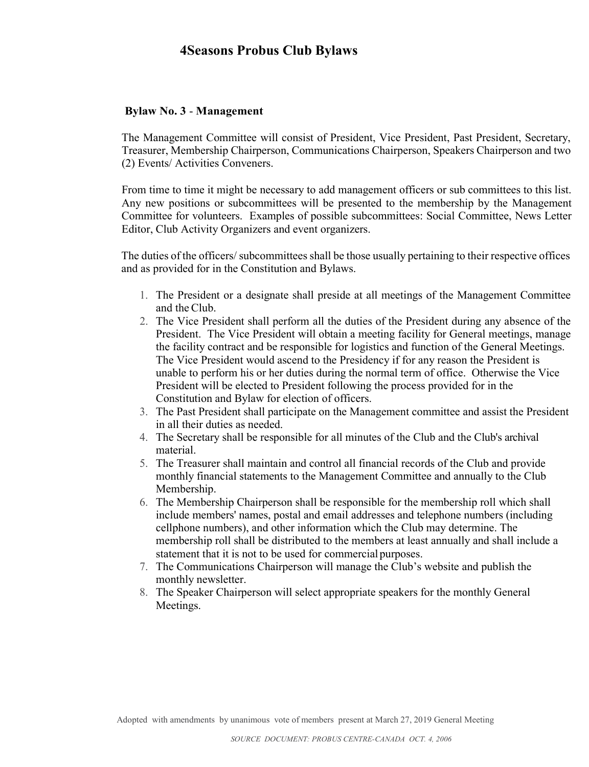#### **Bylaw No. 3** - **Management**

The Management Committee will consist of President, Vice President, Past President, Secretary, Treasurer, Membership Chairperson, Communications Chairperson, Speakers Chairperson and two (2) Events/ Activities Conveners.

From time to time it might be necessary to add management officers or sub committees to this list. Any new positions or subcommittees will be presented to the membership by the Management Committee for volunteers. Examples of possible subcommittees: Social Committee, News Letter Editor, Club Activity Organizers and event organizers.

The duties of the officers/ subcommittees shall be those usually pertaining to their respective offices and as provided for in the Constitution and Bylaws.

- 1. The President or a designate shall preside at all meetings of the Management Committee and the Club.
- 2. The Vice President shall perform all the duties of the President during any absence of the President. The Vice President will obtain a meeting facility for General meetings, manage the facility contract and be responsible for logistics and function of the General Meetings. The Vice President would ascend to the Presidency if for any reason the President is unable to perform his or her duties during the normal term of office. Otherwise the Vice President will be elected to President following the process provided for in the Constitution and Bylaw for election of officers.
- 3. The Past President shall participate on the Management committee and assist the President in all their duties as needed.
- 4. The Secretary shall be responsible for all minutes of the Club and the Club's archival material.
- 5. The Treasurer shall maintain and control all financial records of the Club and provide monthly financial statements to the Management Committee and annually to the Club Membership.
- 6. The Membership Chairperson shall be responsible for the membership roll which shall include members' names, postal and email addresses and telephone numbers (including cellphone numbers), and other information which the Club may determine. The membership roll shall be distributed to the members at least annually and shall include a statement that it is not to be used for commercial purposes.
- 7. The Communications Chairperson will manage the Club's website and publish the monthly newsletter.
- 8. The Speaker Chairperson will select appropriate speakers for the monthly General Meetings.

Adopted with amendments by unanimous vote of members present at March 27, 2019 General Meeting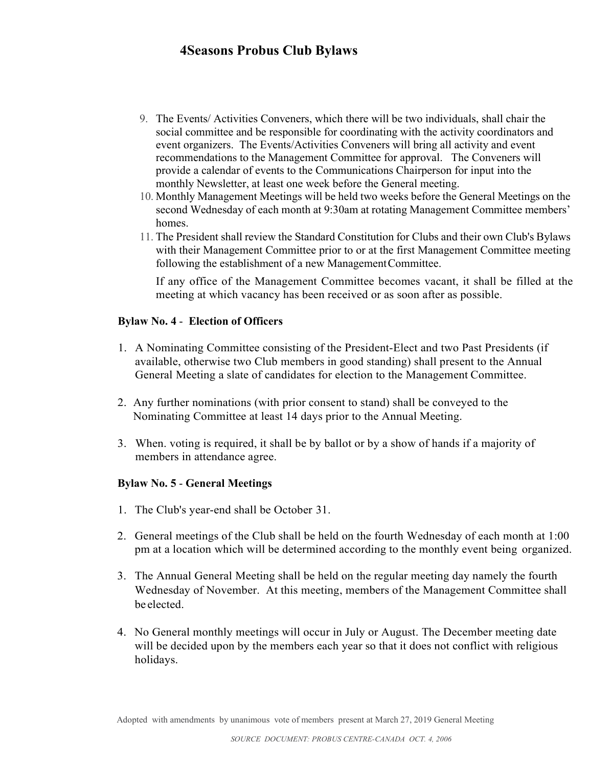- 9. The Events/ Activities Conveners, which there will be two individuals, shall chair the social committee and be responsible for coordinating with the activity coordinators and event organizers. The Events/Activities Conveners will bring all activity and event recommendations to the Management Committee for approval. The Conveners will provide a calendar of events to the Communications Chairperson for input into the monthly Newsletter, at least one week before the General meeting.
- 10. Monthly Management Meetings will be held two weeks before the General Meetings on the second Wednesday of each month at 9:30am at rotating Management Committee members' homes.
- 11. The President shall review the Standard Constitution for Clubs and their own Club's Bylaws with their Management Committee prior to or at the first Management Committee meeting following the establishment of a new Management Committee.

If any office of the Management Committee becomes vacant, it shall be filled at the meeting at which vacancy has been received or as soon after as possible.

#### **Bylaw No. 4** - **Election of Officers**

- 1. A Nominating Committee consisting of the President-Elect and two Past Presidents (if available, otherwise two Club members in good standing) shall present to the Annual General Meeting a slate of candidates for election to the Management Committee.
- 2. Any further nominations (with prior consent to stand) shall be conveyed to the Nominating Committee at least 14 days prior to the Annual Meeting.
- 3. When. voting is required, it shall be by ballot or by a show of hands if a majority of members in attendance agree.

### **Bylaw No. 5** - **General Meetings**

- 1. The Club's year-end shall be October 31.
- 2. General meetings of the Club shall be held on the fourth Wednesday of each month at 1:00 pm at a location which will be determined according to the monthly event being organized.
- 3. The Annual General Meeting shall be held on the regular meeting day namely the fourth Wednesday of November. At this meeting, members of the Management Committee shall be elected.
- 4. No General monthly meetings will occur in July or August. The December meeting date will be decided upon by the members each year so that it does not conflict with religious holidays.

Adopted with amendments by unanimous vote of members present at March 27, 2019 General Meeting